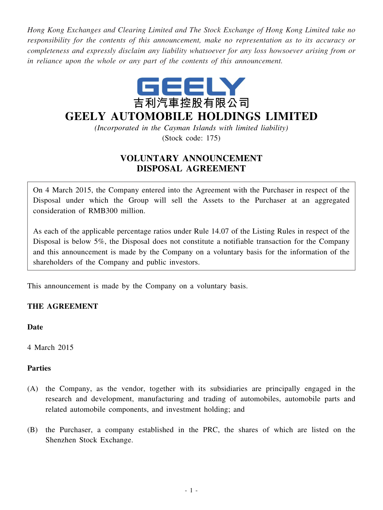*Hong Kong Exchanges and Clearing Limited and The Stock Exchange of Hong Kong Limited take no responsibility for the contents of this announcement, make no representation as to its accuracy or completeness and expressly disclaim any liability whatsoever for any loss howsoever arising from or in reliance upon the whole or any part of the contents of this announcement.*



# **GEELY AUTOMOBILE HOLDINGS LIMITED**

*(Incorporated in the Cayman Islands with limited liability)* (Stock code: 175)

# **VOLUNTARY ANNOUNCEMENT DISPOSAL AGREEMENT**

On 4 March 2015, the Company entered into the Agreement with the Purchaser in respect of the Disposal under which the Group will sell the Assets to the Purchaser at an aggregated consideration of RMB300 million.

As each of the applicable percentage ratios under Rule 14.07 of the Listing Rules in respect of the Disposal is below 5%, the Disposal does not constitute a notifiable transaction for the Company and this announcement is made by the Company on a voluntary basis for the information of the shareholders of the Company and public investors.

This announcement is made by the Company on a voluntary basis.

## **THE AGREEMENT**

**Date**

4 March 2015

#### **Parties**

- (A) the Company, as the vendor, together with its subsidiaries are principally engaged in the research and development, manufacturing and trading of automobiles, automobile parts and related automobile components, and investment holding; and
- (B) the Purchaser, a company established in the PRC, the shares of which are listed on the Shenzhen Stock Exchange.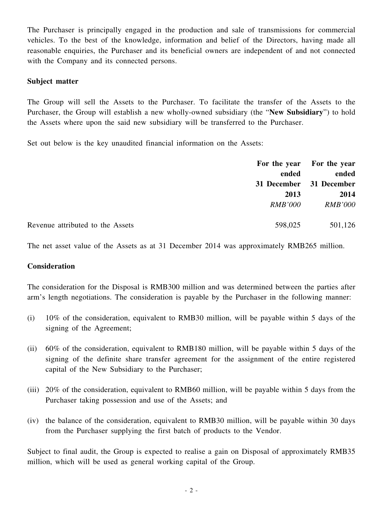The Purchaser is principally engaged in the production and sale of transmissions for commercial vehicles. To the best of the knowledge, information and belief of the Directors, having made all reasonable enquiries, the Purchaser and its beneficial owners are independent of and not connected with the Company and its connected persons.

#### **Subject matter**

The Group will sell the Assets to the Purchaser. To facilitate the transfer of the Assets to the Purchaser, the Group will establish a new wholly-owned subsidiary (the "**New Subsidiary**") to hold the Assets where upon the said new subsidiary will be transferred to the Purchaser.

Set out below is the key unaudited financial information on the Assets:

|                                  |                | For the year For the year        |
|----------------------------------|----------------|----------------------------------|
|                                  | ended          | ended<br>31 December 31 December |
|                                  |                |                                  |
|                                  | 2013           | 2014                             |
|                                  | <i>RMB'000</i> | <b>RMB'000</b>                   |
| Revenue attributed to the Assets | 598,025        | 501,126                          |

The net asset value of the Assets as at 31 December 2014 was approximately RMB265 million.

#### **Consideration**

The consideration for the Disposal is RMB300 million and was determined between the parties after arm's length negotiations. The consideration is payable by the Purchaser in the following manner:

- (i) 10% of the consideration, equivalent to RMB30 million, will be payable within 5 days of the signing of the Agreement;
- (ii) 60% of the consideration, equivalent to RMB180 million, will be payable within 5 days of the signing of the definite share transfer agreement for the assignment of the entire registered capital of the New Subsidiary to the Purchaser;
- (iii) 20% of the consideration, equivalent to RMB60 million, will be payable within 5 days from the Purchaser taking possession and use of the Assets; and
- (iv) the balance of the consideration, equivalent to RMB30 million, will be payable within 30 days from the Purchaser supplying the first batch of products to the Vendor.

Subject to final audit, the Group is expected to realise a gain on Disposal of approximately RMB35 million, which will be used as general working capital of the Group.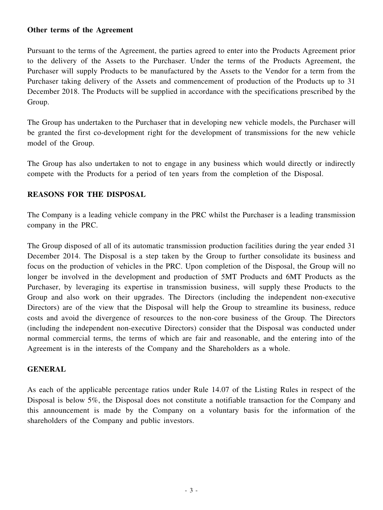#### **Other terms of the Agreement**

Pursuant to the terms of the Agreement, the parties agreed to enter into the Products Agreement prior to the delivery of the Assets to the Purchaser. Under the terms of the Products Agreement, the Purchaser will supply Products to be manufactured by the Assets to the Vendor for a term from the Purchaser taking delivery of the Assets and commencement of production of the Products up to 31 December 2018. The Products will be supplied in accordance with the specifications prescribed by the Group.

The Group has undertaken to the Purchaser that in developing new vehicle models, the Purchaser will be granted the first co-development right for the development of transmissions for the new vehicle model of the Group.

The Group has also undertaken to not to engage in any business which would directly or indirectly compete with the Products for a period of ten years from the completion of the Disposal.

### **REASONS FOR THE DISPOSAL**

The Company is a leading vehicle company in the PRC whilst the Purchaser is a leading transmission company in the PRC.

The Group disposed of all of its automatic transmission production facilities during the year ended 31 December 2014. The Disposal is a step taken by the Group to further consolidate its business and focus on the production of vehicles in the PRC. Upon completion of the Disposal, the Group will no longer be involved in the development and production of 5MT Products and 6MT Products as the Purchaser, by leveraging its expertise in transmission business, will supply these Products to the Group and also work on their upgrades. The Directors (including the independent non-executive Directors) are of the view that the Disposal will help the Group to streamline its business, reduce costs and avoid the divergence of resources to the non-core business of the Group. The Directors (including the independent non-executive Directors) consider that the Disposal was conducted under normal commercial terms, the terms of which are fair and reasonable, and the entering into of the Agreement is in the interests of the Company and the Shareholders as a whole.

#### **GENERAL**

As each of the applicable percentage ratios under Rule 14.07 of the Listing Rules in respect of the Disposal is below 5%, the Disposal does not constitute a notifiable transaction for the Company and this announcement is made by the Company on a voluntary basis for the information of the shareholders of the Company and public investors.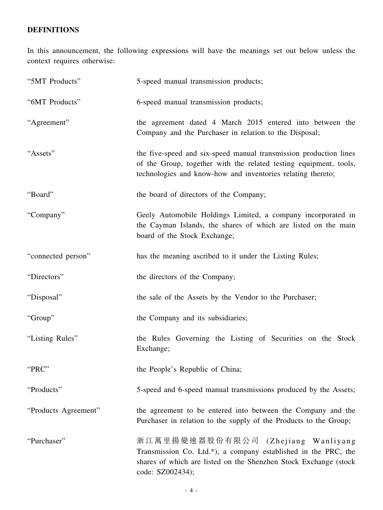# **DEFINITIONS**

In this announcement, the following expressions will have the meanings set out below unless the context requires otherwise:

| "5MT Products"       | 5-speed manual transmission products;                                                                                                                                                                 |
|----------------------|-------------------------------------------------------------------------------------------------------------------------------------------------------------------------------------------------------|
| "6MT Products"       | 6-speed manual transmission products;                                                                                                                                                                 |
| "Agreement"          | the agreement dated 4 March 2015 entered into between the<br>Company and the Purchaser in relation to the Disposal;                                                                                   |
| "Assets"             | the five-speed and six-speed manual transmission production lines<br>of the Group, together with the related testing equipment, tools,<br>technologies and know-how and inventories relating thereto; |
| "Board"              | the board of directors of the Company;                                                                                                                                                                |
| "Company"            | Geely Automobile Holdings Limited, a company incorporated in<br>the Cayman Islands, the shares of which are listed on the main<br>board of the Stock Exchange;                                        |
| "connected person"   | has the meaning ascribed to it under the Listing Rules;                                                                                                                                               |
| "Directors"          | the directors of the Company;                                                                                                                                                                         |
| "Disposal"           | the sale of the Assets by the Vendor to the Purchaser;                                                                                                                                                |
| "Group"              | the Company and its subsidiaries;                                                                                                                                                                     |
| "Listing Rules"      | the Rules Governing the Listing of Securities on the Stock<br>Exchange;                                                                                                                               |
| "PRC"                | the People's Republic of China;                                                                                                                                                                       |
| "Products"           | 5-speed and 6-speed manual transmissions produced by the Assets;                                                                                                                                      |
| "Products Agreement" | the agreement to be entered into between the Company and the<br>Purchaser in relation to the supply of the Products to the Group;                                                                     |
| "Purchaser"          | 浙江萬里揚變速器股份有限公司<br>(Zhejiang Wanliyang)<br>Transmission Co. Ltd.*), a company established in the PRC, the<br>shares of which are listed on the Shenzhen Stock Exchange (stock<br>code: SZ002434);      |